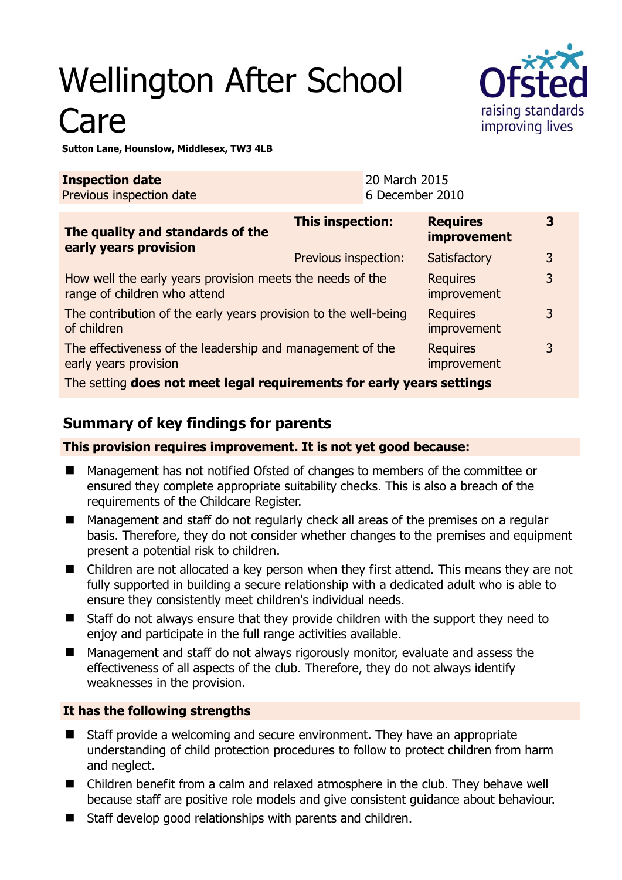# Wellington After School Care



**Sutton Lane, Hounslow, Middlesex, TW3 4LB** 

| <b>Inspection date</b><br>Previous inspection date                                        | 20 March 2015<br>6 December 2010 |                                       |                |
|-------------------------------------------------------------------------------------------|----------------------------------|---------------------------------------|----------------|
| The quality and standards of the<br>early years provision                                 | <b>This inspection:</b>          | <b>Requires</b><br><b>improvement</b> | 3              |
|                                                                                           | Previous inspection:             | Satisfactory                          | 3              |
| How well the early years provision meets the needs of the<br>range of children who attend |                                  | <b>Requires</b><br>improvement        | $\overline{3}$ |
| The contribution of the early years provision to the well-being<br>of children            |                                  | <b>Requires</b><br>improvement        | 3              |
| The effectiveness of the leadership and management of the<br>early years provision        |                                  | <b>Requires</b><br>improvement        | 3              |
| The setting does not meet legal requirements for early years settings                     |                                  |                                       |                |

## **Summary of key findings for parents**

**This provision requires improvement. It is not yet good because:** 

- Management has not notified Ofsted of changes to members of the committee or ensured they complete appropriate suitability checks. This is also a breach of the requirements of the Childcare Register.
- Management and staff do not regularly check all areas of the premises on a regular basis. Therefore, they do not consider whether changes to the premises and equipment present a potential risk to children.
- Children are not allocated a key person when they first attend. This means they are not fully supported in building a secure relationship with a dedicated adult who is able to ensure they consistently meet children's individual needs.
- Staff do not always ensure that they provide children with the support they need to enjoy and participate in the full range activities available.
- Management and staff do not always rigorously monitor, evaluate and assess the effectiveness of all aspects of the club. Therefore, they do not always identify weaknesses in the provision.

#### **It has the following strengths**

- Staff provide a welcoming and secure environment. They have an appropriate understanding of child protection procedures to follow to protect children from harm and neglect.
- Children benefit from a calm and relaxed atmosphere in the club. They behave well because staff are positive role models and give consistent guidance about behaviour.
- Staff develop good relationships with parents and children.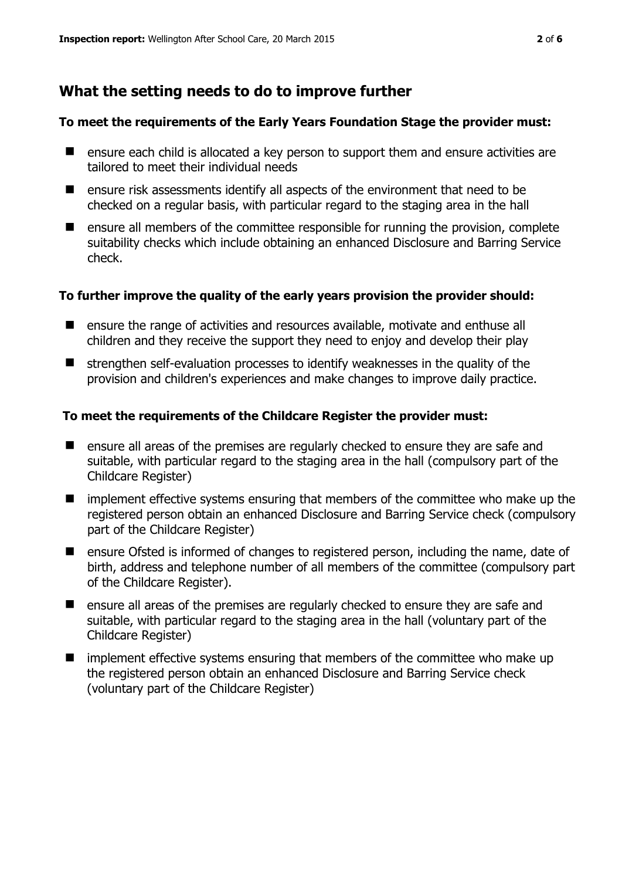## **What the setting needs to do to improve further**

#### **To meet the requirements of the Early Years Foundation Stage the provider must:**

- ensure each child is allocated a key person to support them and ensure activities are tailored to meet their individual needs
- $\blacksquare$  ensure risk assessments identify all aspects of the environment that need to be checked on a regular basis, with particular regard to the staging area in the hall
- $\blacksquare$  ensure all members of the committee responsible for running the provision, complete suitability checks which include obtaining an enhanced Disclosure and Barring Service check.

#### **To further improve the quality of the early years provision the provider should:**

- ensure the range of activities and resources available, motivate and enthuse all children and they receive the support they need to enjoy and develop their play
- $\blacksquare$  strengthen self-evaluation processes to identify weaknesses in the quality of the provision and children's experiences and make changes to improve daily practice.

#### **To meet the requirements of the Childcare Register the provider must:**

- **E** ensure all areas of the premises are regularly checked to ensure they are safe and suitable, with particular regard to the staging area in the hall (compulsory part of the Childcare Register)
- **If** implement effective systems ensuring that members of the committee who make up the registered person obtain an enhanced Disclosure and Barring Service check (compulsory part of the Childcare Register)
- **EXT** ensure Ofsted is informed of changes to registered person, including the name, date of birth, address and telephone number of all members of the committee (compulsory part of the Childcare Register).
- **E** ensure all areas of the premises are regularly checked to ensure they are safe and suitable, with particular regard to the staging area in the hall (voluntary part of the Childcare Register)
- $\blacksquare$  implement effective systems ensuring that members of the committee who make up the registered person obtain an enhanced Disclosure and Barring Service check (voluntary part of the Childcare Register)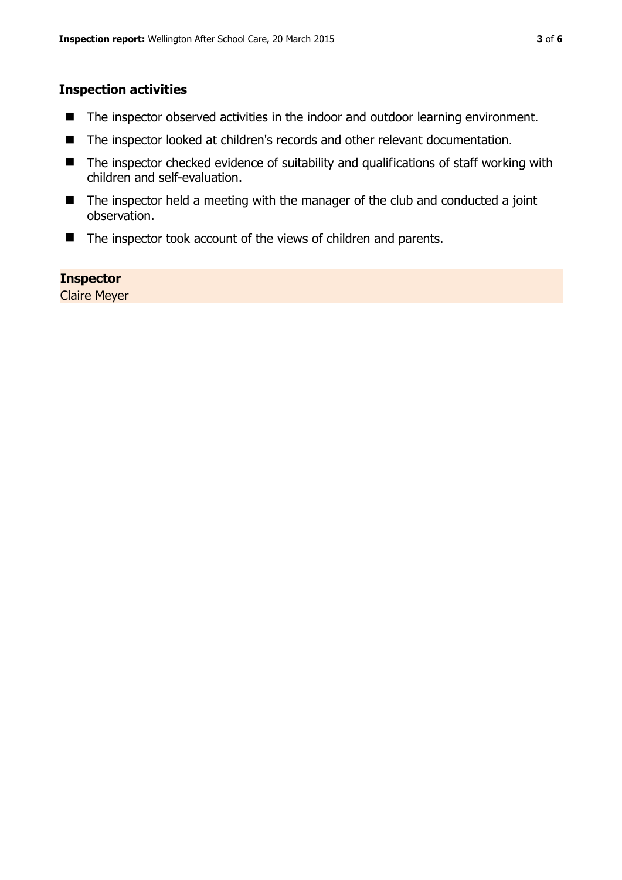#### **Inspection activities**

- The inspector observed activities in the indoor and outdoor learning environment.
- The inspector looked at children's records and other relevant documentation.
- The inspector checked evidence of suitability and qualifications of staff working with children and self-evaluation.
- $\blacksquare$  The inspector held a meeting with the manager of the club and conducted a joint observation.
- The inspector took account of the views of children and parents.

#### **Inspector**

Claire Meyer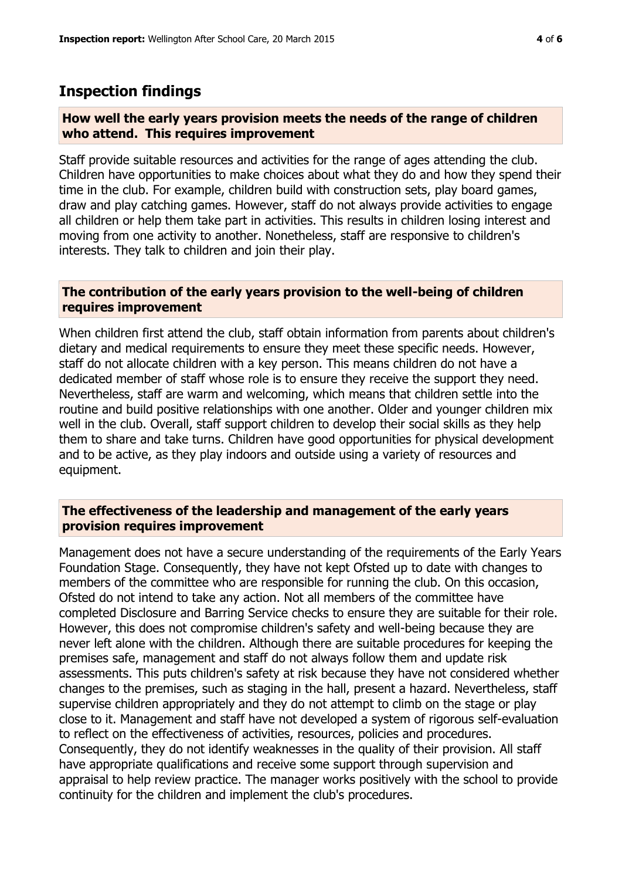### **Inspection findings**

#### **How well the early years provision meets the needs of the range of children who attend. This requires improvement**

Staff provide suitable resources and activities for the range of ages attending the club. Children have opportunities to make choices about what they do and how they spend their time in the club. For example, children build with construction sets, play board games, draw and play catching games. However, staff do not always provide activities to engage all children or help them take part in activities. This results in children losing interest and moving from one activity to another. Nonetheless, staff are responsive to children's interests. They talk to children and join their play.

#### **The contribution of the early years provision to the well-being of children requires improvement**

When children first attend the club, staff obtain information from parents about children's dietary and medical requirements to ensure they meet these specific needs. However, staff do not allocate children with a key person. This means children do not have a dedicated member of staff whose role is to ensure they receive the support they need. Nevertheless, staff are warm and welcoming, which means that children settle into the routine and build positive relationships with one another. Older and younger children mix well in the club. Overall, staff support children to develop their social skills as they help them to share and take turns. Children have good opportunities for physical development and to be active, as they play indoors and outside using a variety of resources and equipment.

#### **The effectiveness of the leadership and management of the early years provision requires improvement**

Management does not have a secure understanding of the requirements of the Early Years Foundation Stage. Consequently, they have not kept Ofsted up to date with changes to members of the committee who are responsible for running the club. On this occasion, Ofsted do not intend to take any action. Not all members of the committee have completed Disclosure and Barring Service checks to ensure they are suitable for their role. However, this does not compromise children's safety and well-being because they are never left alone with the children. Although there are suitable procedures for keeping the premises safe, management and staff do not always follow them and update risk assessments. This puts children's safety at risk because they have not considered whether changes to the premises, such as staging in the hall, present a hazard. Nevertheless, staff supervise children appropriately and they do not attempt to climb on the stage or play close to it. Management and staff have not developed a system of rigorous self-evaluation to reflect on the effectiveness of activities, resources, policies and procedures. Consequently, they do not identify weaknesses in the quality of their provision. All staff have appropriate qualifications and receive some support through supervision and appraisal to help review practice. The manager works positively with the school to provide continuity for the children and implement the club's procedures.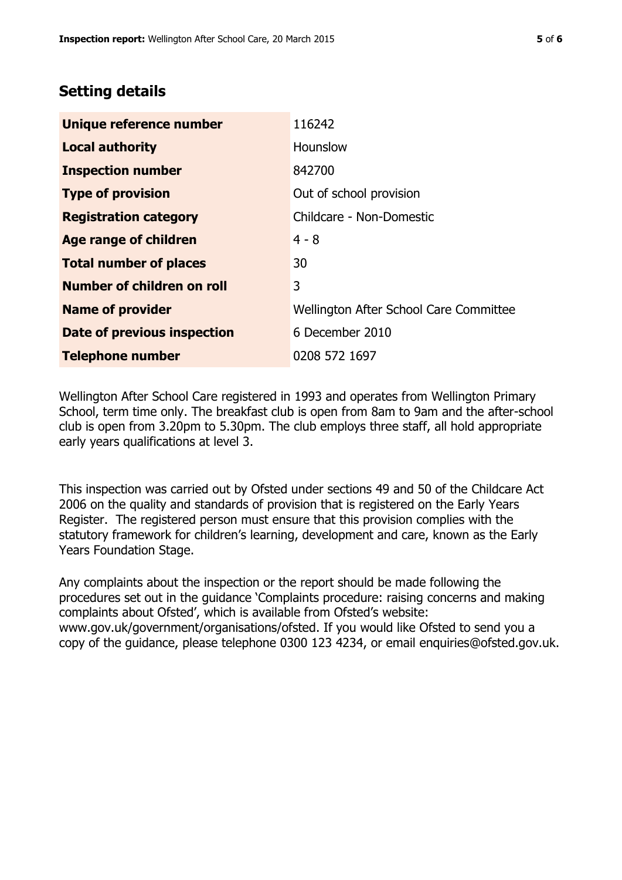# **Setting details**

| Unique reference number       | 116242                                 |  |
|-------------------------------|----------------------------------------|--|
| <b>Local authority</b>        | Hounslow                               |  |
| <b>Inspection number</b>      | 842700                                 |  |
| <b>Type of provision</b>      | Out of school provision                |  |
| <b>Registration category</b>  | Childcare - Non-Domestic               |  |
| Age range of children         | $4 - 8$                                |  |
| <b>Total number of places</b> | 30                                     |  |
| Number of children on roll    | 3                                      |  |
| <b>Name of provider</b>       | Wellington After School Care Committee |  |
| Date of previous inspection   | 6 December 2010                        |  |
| <b>Telephone number</b>       | 0208 572 1697                          |  |

Wellington After School Care registered in 1993 and operates from Wellington Primary School, term time only. The breakfast club is open from 8am to 9am and the after-school club is open from 3.20pm to 5.30pm. The club employs three staff, all hold appropriate early years qualifications at level 3.

This inspection was carried out by Ofsted under sections 49 and 50 of the Childcare Act 2006 on the quality and standards of provision that is registered on the Early Years Register. The registered person must ensure that this provision complies with the statutory framework for children's learning, development and care, known as the Early Years Foundation Stage.

Any complaints about the inspection or the report should be made following the procedures set out in the guidance 'Complaints procedure: raising concerns and making complaints about Ofsted', which is available from Ofsted's website: www.gov.uk/government/organisations/ofsted. If you would like Ofsted to send you a copy of the guidance, please telephone 0300 123 4234, or email enquiries@ofsted.gov.uk.